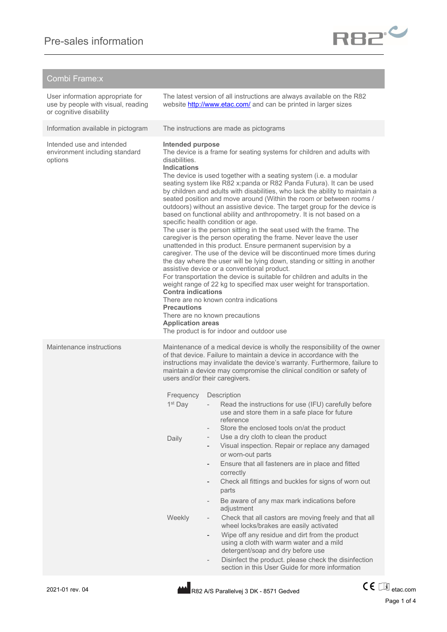| Combi Frame:x                                                                                     |                                                                                                                                                                                                                                                                                                                                                                                                                                                                                                                                                                                                                                                                                                                                                                                                                                                                                                                                                                                                                                                                                                                                                                                                                                                                                                                                                                                                                 |                                                                                                                                                                                                                                                                                                                                                                                          |  |
|---------------------------------------------------------------------------------------------------|-----------------------------------------------------------------------------------------------------------------------------------------------------------------------------------------------------------------------------------------------------------------------------------------------------------------------------------------------------------------------------------------------------------------------------------------------------------------------------------------------------------------------------------------------------------------------------------------------------------------------------------------------------------------------------------------------------------------------------------------------------------------------------------------------------------------------------------------------------------------------------------------------------------------------------------------------------------------------------------------------------------------------------------------------------------------------------------------------------------------------------------------------------------------------------------------------------------------------------------------------------------------------------------------------------------------------------------------------------------------------------------------------------------------|------------------------------------------------------------------------------------------------------------------------------------------------------------------------------------------------------------------------------------------------------------------------------------------------------------------------------------------------------------------------------------------|--|
| User information appropriate for<br>use by people with visual, reading<br>or cognitive disability | The latest version of all instructions are always available on the R82<br>website http://www.etac.com/ and can be printed in larger sizes                                                                                                                                                                                                                                                                                                                                                                                                                                                                                                                                                                                                                                                                                                                                                                                                                                                                                                                                                                                                                                                                                                                                                                                                                                                                       |                                                                                                                                                                                                                                                                                                                                                                                          |  |
| Information available in pictogram                                                                |                                                                                                                                                                                                                                                                                                                                                                                                                                                                                                                                                                                                                                                                                                                                                                                                                                                                                                                                                                                                                                                                                                                                                                                                                                                                                                                                                                                                                 | The instructions are made as pictograms                                                                                                                                                                                                                                                                                                                                                  |  |
| Intended use and intended<br>environment including standard<br>options                            | Intended purpose<br>The device is a frame for seating systems for children and adults with<br>disabilities.<br><b>Indications</b><br>The device is used together with a seating system (i.e. a modular<br>seating system like R82 x:panda or R82 Panda Futura). It can be used<br>by children and adults with disabilities, who lack the ability to maintain a<br>seated position and move around (Within the room or between rooms /<br>outdoors) without an assistive device. The target group for the device is<br>based on functional ability and anthropometry. It is not based on a<br>specific health condition or age.<br>The user is the person sitting in the seat used with the frame. The<br>caregiver is the person operating the frame. Never leave the user<br>unattended in this product. Ensure permanent supervision by a<br>caregiver. The use of the device will be discontinued more times during<br>the day where the user will be lying down, standing or sitting in another<br>assistive device or a conventional product.<br>For transportation the device is suitable for children and adults in the<br>weight range of 22 kg to specified max user weight for transportation.<br><b>Contra indications</b><br>There are no known contra indications<br><b>Precautions</b><br>There are no known precautions<br><b>Application areas</b><br>The product is for indoor and outdoor use |                                                                                                                                                                                                                                                                                                                                                                                          |  |
| Maintenance instructions                                                                          | Maintenance of a medical device is wholly the responsibility of the owner<br>of that device. Failure to maintain a device in accordance with the<br>instructions may invalidate the device's warranty. Furthermore, failure to<br>maintain a device may compromise the clinical condition or safety of<br>users and/or their caregivers.                                                                                                                                                                                                                                                                                                                                                                                                                                                                                                                                                                                                                                                                                                                                                                                                                                                                                                                                                                                                                                                                        |                                                                                                                                                                                                                                                                                                                                                                                          |  |
|                                                                                                   | Frequency<br>1 <sup>st</sup> Day                                                                                                                                                                                                                                                                                                                                                                                                                                                                                                                                                                                                                                                                                                                                                                                                                                                                                                                                                                                                                                                                                                                                                                                                                                                                                                                                                                                | Description<br>Read the instructions for use (IFU) carefully before<br>use and store them in a safe place for future<br>reference<br>Store the enclosed tools on/at the product                                                                                                                                                                                                          |  |
|                                                                                                   | Daily                                                                                                                                                                                                                                                                                                                                                                                                                                                                                                                                                                                                                                                                                                                                                                                                                                                                                                                                                                                                                                                                                                                                                                                                                                                                                                                                                                                                           | Use a dry cloth to clean the product<br>Visual inspection. Repair or replace any damaged<br>or worn-out parts<br>Ensure that all fasteners are in place and fitted<br>correctly<br>Check all fittings and buckles for signs of worn out<br>-<br>parts<br>Be aware of any max mark indications before                                                                                     |  |
|                                                                                                   | Weekly                                                                                                                                                                                                                                                                                                                                                                                                                                                                                                                                                                                                                                                                                                                                                                                                                                                                                                                                                                                                                                                                                                                                                                                                                                                                                                                                                                                                          | adjustment<br>Check that all castors are moving freely and that all<br>wheel locks/brakes are easily activated<br>Wipe off any residue and dirt from the product<br>using a cloth with warm water and a mild<br>detergent/soap and dry before use<br>Disinfect the product. please check the disinfection<br>$\overline{\phantom{0}}$<br>section in this User Guide for more information |  |



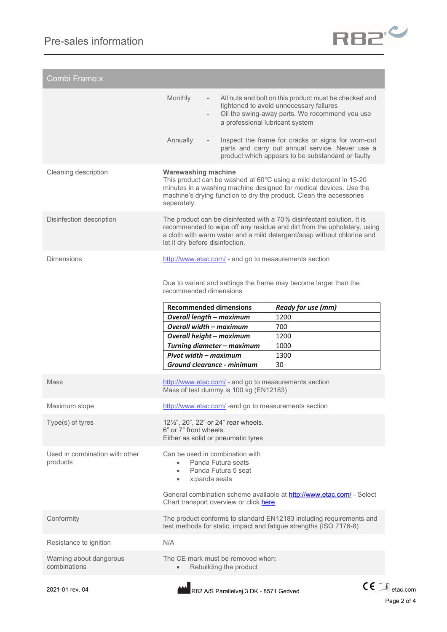

| Combi Frame:x                              |                                                                                                                                                                                                                                                                |                                                                                                                                                            |  |  |
|--------------------------------------------|----------------------------------------------------------------------------------------------------------------------------------------------------------------------------------------------------------------------------------------------------------------|------------------------------------------------------------------------------------------------------------------------------------------------------------|--|--|
|                                            | <b>Monthly</b><br>a professional lubricant system                                                                                                                                                                                                              | All nuts and bolt on this product must be checked and<br>tightened to avoid unnecessary failures<br>Oil the swing-away parts. We recommend you use         |  |  |
|                                            | Annually                                                                                                                                                                                                                                                       | Inspect the frame for cracks or signs for worn-out<br>parts and carry out annual service. Never use a<br>product which appears to be substandard or faulty |  |  |
| Cleaning description                       | <b>Warewashing machine</b><br>This product can be washed at 60°C using a mild detergent in 15-20<br>minutes in a washing machine designed for medical devices. Use the<br>machine's drying function to dry the product. Clean the accessories<br>seperately.   |                                                                                                                                                            |  |  |
| Disinfection description                   | The product can be disinfected with a 70% disinfectant solution. It is<br>recommended to wipe off any residue and dirt from the upholstery, using<br>a cloth with warm water and a mild detergent/soap without chlorine and<br>let it dry before disinfection. |                                                                                                                                                            |  |  |
| <b>Dimensions</b>                          | http://www.etac.com/ - and go to measurements section                                                                                                                                                                                                          |                                                                                                                                                            |  |  |
|                                            | Due to variant and settings the frame may become larger than the<br>recommended dimensions                                                                                                                                                                     |                                                                                                                                                            |  |  |
|                                            | <b>Recommended dimensions</b>                                                                                                                                                                                                                                  | <b>Ready for use (mm)</b>                                                                                                                                  |  |  |
|                                            | <b>Overall length - maximum</b>                                                                                                                                                                                                                                | 1200                                                                                                                                                       |  |  |
|                                            | <b>Overall width - maximum</b>                                                                                                                                                                                                                                 | 700                                                                                                                                                        |  |  |
|                                            | Overall height - maximum                                                                                                                                                                                                                                       | 1200                                                                                                                                                       |  |  |
|                                            | Turning diameter - maximum                                                                                                                                                                                                                                     | 1000                                                                                                                                                       |  |  |
|                                            | Pivot width - maximum                                                                                                                                                                                                                                          | 1300                                                                                                                                                       |  |  |
|                                            | Ground clearance - minimum                                                                                                                                                                                                                                     | 30                                                                                                                                                         |  |  |
| <b>Mass</b>                                | http://www.etac.com/ - and go to measurements section<br>Mass of test dummy is 100 kg (EN12183)                                                                                                                                                                |                                                                                                                                                            |  |  |
| Maximum slope                              | http://www.etac.com/ -and go to measurements section                                                                                                                                                                                                           |                                                                                                                                                            |  |  |
| Type(s) of tyres                           | 12 <sup>1</sup> / <sub>2</sub> ", 20", 22" or 24" rear wheels.<br>6" or 7" front wheels.<br>Either as solid or pneumatic tyres                                                                                                                                 |                                                                                                                                                            |  |  |
|                                            |                                                                                                                                                                                                                                                                |                                                                                                                                                            |  |  |
| Used in combination with other<br>products | Can be used in combination with<br>Panda Futura seats<br>$\bullet$<br>Panda Futura 5 seat<br>$\bullet$<br>x:panda seats<br>$\bullet$                                                                                                                           |                                                                                                                                                            |  |  |
|                                            | General combination scheme available at http://www.etac.com/ - Select<br>Chart transport overview or click here                                                                                                                                                |                                                                                                                                                            |  |  |
| Conformity                                 | The product conforms to standard EN12183 including requirements and<br>test methods for static, impact and fatigue strengths (ISO 7176-8)                                                                                                                      |                                                                                                                                                            |  |  |
| Resistance to ignition                     | N/A                                                                                                                                                                                                                                                            |                                                                                                                                                            |  |  |
| Warning about dangerous<br>combinations    | The CE mark must be removed when:<br>Rebuilding the product<br>$\bullet$                                                                                                                                                                                       |                                                                                                                                                            |  |  |

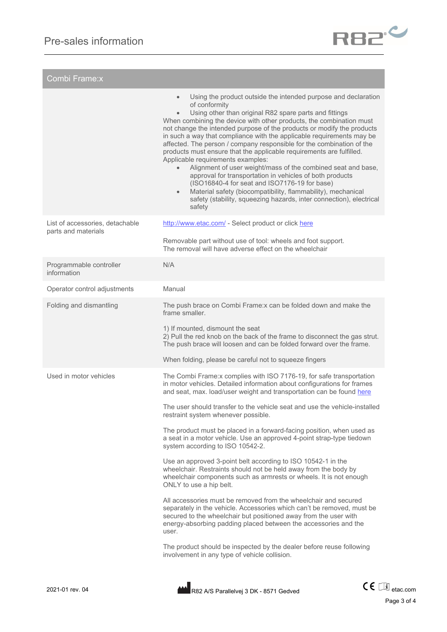

| Combi Frame:x                                          |                                                                                                                                                                                                                                                                                                                                                                                                                                                                                                                                                                                                                                                                                                                                                                                                                                                                                                                                                                                                                                                                                                                                                                                               |
|--------------------------------------------------------|-----------------------------------------------------------------------------------------------------------------------------------------------------------------------------------------------------------------------------------------------------------------------------------------------------------------------------------------------------------------------------------------------------------------------------------------------------------------------------------------------------------------------------------------------------------------------------------------------------------------------------------------------------------------------------------------------------------------------------------------------------------------------------------------------------------------------------------------------------------------------------------------------------------------------------------------------------------------------------------------------------------------------------------------------------------------------------------------------------------------------------------------------------------------------------------------------|
|                                                        | Using the product outside the intended purpose and declaration<br>$\bullet$<br>of conformity<br>Using other than original R82 spare parts and fittings<br>$\bullet$<br>When combining the device with other products, the combination must<br>not change the intended purpose of the products or modify the products<br>in such a way that compliance with the applicable requirements may be<br>affected. The person / company responsible for the combination of the<br>products must ensure that the applicable requirements are fulfilled.<br>Applicable requirements examples:<br>Alignment of user weight/mass of the combined seat and base,<br>$\bullet$<br>approval for transportation in vehicles of both products<br>(ISO16840-4 for seat and ISO7176-19 for base)<br>Material safety (biocompatibility, flammability), mechanical<br>$\bullet$<br>safety (stability, squeezing hazards, inter connection), electrical<br>safety                                                                                                                                                                                                                                                   |
| List of accessories, detachable<br>parts and materials | http://www.etac.com/ - Select product or click here<br>Removable part without use of tool: wheels and foot support.<br>The removal will have adverse effect on the wheelchair                                                                                                                                                                                                                                                                                                                                                                                                                                                                                                                                                                                                                                                                                                                                                                                                                                                                                                                                                                                                                 |
| Programmable controller<br>information                 | N/A                                                                                                                                                                                                                                                                                                                                                                                                                                                                                                                                                                                                                                                                                                                                                                                                                                                                                                                                                                                                                                                                                                                                                                                           |
| Operator control adjustments                           | Manual                                                                                                                                                                                                                                                                                                                                                                                                                                                                                                                                                                                                                                                                                                                                                                                                                                                                                                                                                                                                                                                                                                                                                                                        |
| Folding and dismantling                                | The push brace on Combi Frame: x can be folded down and make the<br>frame smaller.<br>1) If mounted, dismount the seat<br>2) Pull the red knob on the back of the frame to disconnect the gas strut.<br>The push brace will loosen and can be folded forward over the frame.<br>When folding, please be careful not to squeeze fingers                                                                                                                                                                                                                                                                                                                                                                                                                                                                                                                                                                                                                                                                                                                                                                                                                                                        |
| Used in motor vehicles                                 | The Combi Frame: x complies with ISO 7176-19, for safe transportation<br>in motor vehicles. Detailed information about configurations for frames<br>and seat, max. load/user weight and transportation can be found here<br>The user should transfer to the vehicle seat and use the vehicle-installed<br>restraint system whenever possible.<br>The product must be placed in a forward-facing position, when used as<br>a seat in a motor vehicle. Use an approved 4-point strap-type tiedown<br>system according to ISO 10542-2.<br>Use an approved 3-point belt according to ISO 10542-1 in the<br>wheelchair. Restraints should not be held away from the body by<br>wheelchair components such as armrests or wheels. It is not enough<br>ONLY to use a hip belt.<br>All accessories must be removed from the wheelchair and secured<br>separately in the vehicle. Accessories which can't be removed, must be<br>secured to the wheelchair but positioned away from the user with<br>energy-absorbing padding placed between the accessories and the<br>user.<br>The product should be inspected by the dealer before reuse following<br>involvement in any type of vehicle collision. |